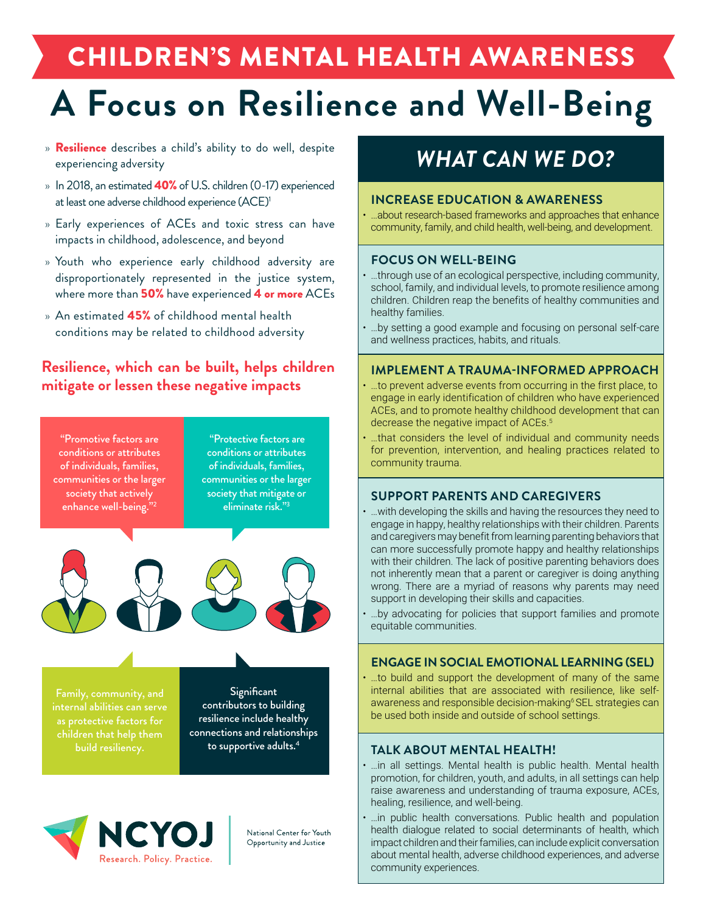## <span id="page-0-0"></span>CHILDREN'S MENTAL HEALTH AWARENESS

# **A Focus on Resilience and Well-Being**

- » **Resilience** describes a child's ability to do well, despite experiencing adversity
- » In 2018, an estimated 40% of U.S. children (0-17) experienced at least one adverse childhood experience (ACE)<sup>1</sup>
- » Early experiences of ACEs and toxic stress can have impacts in childhood, adolescence, and beyond
- » Youth who experience early childhood adversity are disproportionately represented in the justice system, where more than 50% have experienced 4 or more ACEs
- » An estimated 45% of childhood mental health conditions may be related to childhood adversity

#### **Resilience, which can be built, helps children mitigate or lessen these negative impacts**

"Promotive factors are conditions or attributes of individuals, families, communities or the larger society that actively enhance well-being."<sup>2</sup>

"Protective factors are conditions or attributes of individuals, families, communities or the larger society that mitigate or eliminate risk."[3](#page-1-0)



Family, community, and internal abilities can serve as protective factors for

**Significant** contributors to building resilience include healthy connections and relationships to supportive adults.<sup>[4](#page-1-0)</sup>



National Center for Youth Opportunity and Justice

## *WHAT CAN WE DO?*

#### **INCREASE EDUCATION & AWARENESS**

• …about research-based frameworks and approaches that enhance community, family, and child health, well-being, and development.

#### **FOCUS ON WELL-BEING**

- …through use of an ecological perspective, including community, school, family, and individual levels, to promote resilience among children. Children reap the benefits of healthy communities and healthy families.
- …by setting a good example and focusing on personal self-care and wellness practices, habits, and rituals.

#### **IMPLEMENT A TRAUMA-INFORMED APPROACH**

- …to prevent adverse events from occurring in the first place, to engage in early identification of children who have experienced ACEs, and to promote healthy childhood development that can decrease the negative impact of ACEs.<sup>[5](#page-1-0)</sup>
- ...that considers the level of individual and community needs for prevention, intervention, and healing practices related to community trauma.

#### **SUPPORT PARENTS AND CAREGIVERS**

- …with developing the skills and having the resources they need to engage in happy, healthy relationships with their children. Parents and caregivers may benefit from learning parenting behaviors that can more successfully promote happy and healthy relationships with their children. The lack of positive parenting behaviors does not inherently mean that a parent or caregiver is doing anything wrong. There are a myriad of reasons why parents may need support in developing their skills and capacities.
- …by advocating for policies that support families and promote equitable communities.

#### **ENGAGE IN SOCIAL EMOTIONAL LEARNING (SEL)**

• …to build and support the development of many of the same internal abilities that are associated with resilience, like selfawareness and responsible decision-making<sup>6</sup> SEL strategies can be used both inside and outside of school settings.

#### **TALK ABOUT MENTAL HEALTH!**

- …in all settings. Mental health is public health. Mental health promotion, for children, youth, and adults, in all settings can help raise awareness and understanding of trauma exposure, ACEs, healing, resilience, and well-being.
- …in public health conversations. Public health and population health dialogue related to social determinants of health, which impact children and their families, can include explicit conversation about mental health, adverse childhood experiences, and adverse community experiences.